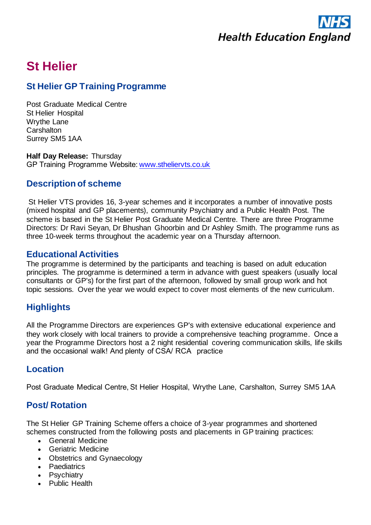

# **St Helier**

# **St Helier GP Training Programme**

Post Graduate Medical Centre St Helier Hospital Wrythe Lane **Carshalton** Surrey SM5 1AA

**Half Day Release:** Thursday GP Training Programme Website:[www.stheliervts.co.uk](http://www.stheliervts.co.uk/)

## **Description of scheme**

St Helier VTS provides 16, 3-year schemes and it incorporates a number of innovative posts (mixed hospital and GP placements), community Psychiatry and a Public Health Post. The scheme is based in the St Helier Post Graduate Medical Centre. There are three Programme Directors: Dr Ravi Seyan, Dr Bhushan Ghoorbin and Dr Ashley Smith. The programme runs as three 10-week terms throughout the academic year on a Thursday afternoon.

### **Educational Activities**

The programme is determined by the participants and teaching is based on adult education principles. The programme is determined a term in advance with guest speakers (usually local consultants or GP's) for the first part of the afternoon, followed by small group work and hot topic sessions. Over the year we would expect to cover most elements of the new curriculum.

# **Highlights**

All the Programme Directors are experiences GP's with extensive educational experience and they work closely with local trainers to provide a comprehensive teaching programme.  Once a year the Programme Directors host a 2 night residential covering communication skills, life skills and the occasional walk! And plenty of CSA/ RCA   practice

## **Location**

Post Graduate Medical Centre, St Helier Hospital, Wrythe Lane, Carshalton, Surrey SM5 1AA

## **Post/ Rotation**

The St Helier GP Training Scheme offers a choice of 3-year programmes and shortened schemes constructed from the following posts and placements in GP training practices:

- General Medicine
- Geriatric Medicine
- Obstetrics and Gynaecology
- Paediatrics
- Psychiatry
- Public Health